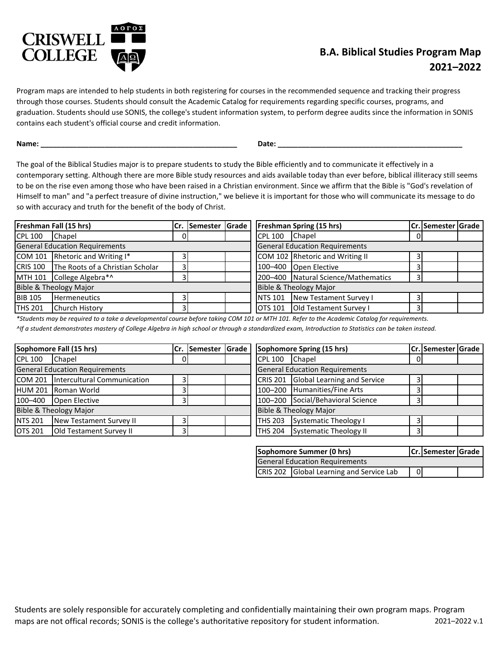

## **2021–2022 B.A. Biblical Studies Program Map**

Program maps are intended to help students in both registering for courses in the recommended sequence and tracking their progress through those courses. Students should consult the Academic Catalog for requirements regarding specific courses, programs, and graduation. Students should use SONIS, the college's student information system, to perform degree audits since the information in SONIS contains each student's official course and credit information.

**Name: \_\_\_\_\_\_\_\_\_\_\_\_\_\_\_\_\_\_\_\_\_\_\_\_\_\_\_\_\_\_\_\_\_\_\_\_\_\_\_\_\_\_\_\_\_\_\_\_\_ Date: \_\_\_\_\_\_\_\_\_\_\_\_\_\_\_\_\_\_\_\_\_\_\_\_\_\_\_\_\_\_\_\_\_\_\_\_\_\_\_\_\_\_\_\_\_\_**

The goal of the Biblical Studies major is to prepare students to study the Bible efficiently and to communicate it effectively in a contemporary setting. Although there are more Bible study resources and aids available today than ever before, biblical illiteracy still seems to be on the rise even among those who have been raised in a Christian environment. Since we affirm that the Bible is "God's revelation of Himself to man" and "a perfect treasure of divine instruction," we believe it is important for those who will communicate its message to do so with accuracy and truth for the benefit of the body of Christ.

|                                       | Freshman Fall (15 hrs)                    |  | Cr. Semester Grade |  |                                       | <b>Freshman Spring (15 hrs)</b>     |   | Cr. Semester Grade |  |
|---------------------------------------|-------------------------------------------|--|--------------------|--|---------------------------------------|-------------------------------------|---|--------------------|--|
| CPL 100                               | Chapel                                    |  |                    |  | <b>CPL 100</b>                        | <b>Chapel</b>                       | 0 |                    |  |
| <b>General Education Requirements</b> |                                           |  |                    |  | <b>General Education Requirements</b> |                                     |   |                    |  |
|                                       | COM 101 Rhetoric and Writing I*           |  |                    |  |                                       | COM 102 Rhetoric and Writing II     |   |                    |  |
|                                       | CRIS 100 The Roots of a Christian Scholar |  |                    |  |                                       | 100-400 Open Elective               |   |                    |  |
|                                       | MTH 101 College Algebra*^                 |  |                    |  |                                       | 200-400 Natural Science/Mathematics |   |                    |  |
| Bible & Theology Major                |                                           |  |                    |  | Bible & Theology Major                |                                     |   |                    |  |
| <b>BIB 105</b>                        | <b>Hermeneutics</b>                       |  |                    |  | <b>NTS 101</b>                        | New Testament Survey I              |   |                    |  |
| <b>THS 201</b>                        | <b>Church History</b>                     |  |                    |  | OTS 101                               | Old Testament Survey I              |   |                    |  |

*\*Students may be required to a take a developmental course before taking COM 101 or MTH 101. Refer to the Academic Catalog for requirements.*

*^If a student demonstrates mastery of College Algebra in high school or through a standardized exam, Introduction to Statistics can be taken instead.*

|                                       | Sophomore Fall (15 hrs)             | Cr. | Semester Grade |  |                                       | Sophomore Spring (15 hrs)            |   |  | Cr. Semester Grade |  |
|---------------------------------------|-------------------------------------|-----|----------------|--|---------------------------------------|--------------------------------------|---|--|--------------------|--|
| <b>CPL 100</b>                        | Chapel                              |     |                |  | <b>CPL 100</b>                        | <b>Chapel</b>                        | 0 |  |                    |  |
| <b>General Education Requirements</b> |                                     |     |                |  | <b>General Education Requirements</b> |                                      |   |  |                    |  |
|                                       | COM 201 Intercultural Communication |     |                |  |                                       | CRIS 201 Global Learning and Service |   |  |                    |  |
|                                       | <b>IHUM 201 Roman World</b>         |     |                |  |                                       | 100-200 Humanities/Fine Arts         | 3 |  |                    |  |
| 100-400                               | Open Elective                       |     |                |  |                                       | 100-200 Social/Behavioral Science    | 3 |  |                    |  |
|                                       | Bible & Theology Major              |     |                |  |                                       | <b>Bible &amp; Theology Major</b>    |   |  |                    |  |
| <b>NTS 201</b>                        | New Testament Survey II             |     |                |  | <b>THS 203</b>                        | Systematic Theology I                | 3 |  |                    |  |
| <b>OTS 201</b>                        | Old Testament Survey II             |     |                |  |                                       | THS 204 Systematic Theology II       | 3 |  |                    |  |

|                                       | Sophomore Summer (0 hrs)                 |  | Cr. Semester Grade |  |
|---------------------------------------|------------------------------------------|--|--------------------|--|
| <b>General Education Requirements</b> |                                          |  |                    |  |
|                                       | CRIS 202 Global Learning and Service Lab |  |                    |  |